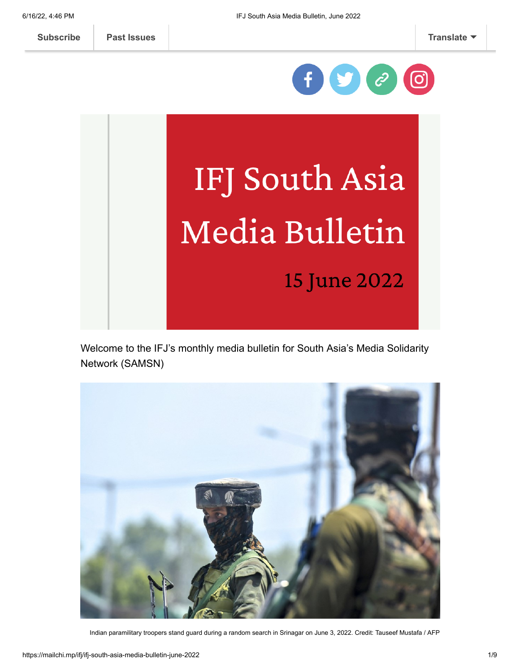**[Subscribe](http://eepurl.com/gc5SZD) [Past Issues](https://us6.campaign-archive.com/home/?u=312d2086b1b5654e5e6957dd9&id=09bc8a5951) [Translate](javascript:;)**



# IFJ South Asia Media Bulletin

15 June 2022

Welcome to the IFJ's monthly media bulletin for South Asia's Media Solidarity Network (SAMSN)



Indian paramilitary troopers stand guard during a random search in Srinagar on June 3, 2022. Credit: Tauseef Mustafa / AFP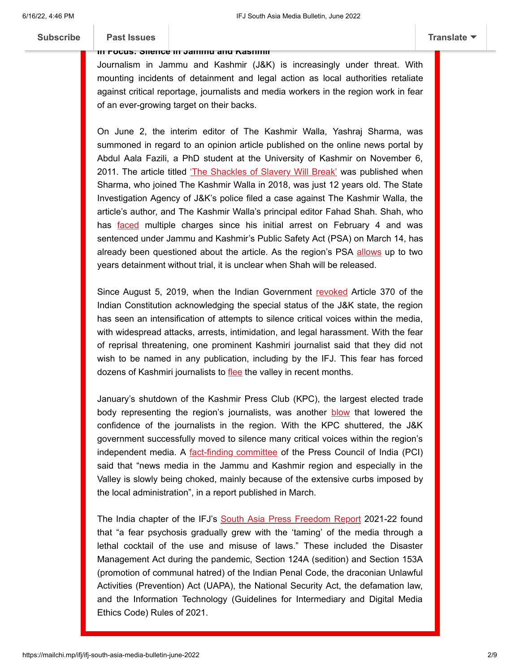### **In Focus: Silence in Jammu and Kashmir**

Journalism in Jammu and Kashmir (J&K) is increasingly under threat. With mounting incidents of detainment and legal action as local authorities retaliate against critical reportage, journalists and media workers in the region work in fear of an ever-growing target on their backs.

On June 2, the interim editor of The Kashmir Walla, Yashraj Sharma, was summoned in regard to an opinion article published on the online news portal by Abdul Aala Fazili, a PhD student at the University of Kashmir on November 6, 2011. The article titled *The Shackles of Slavery Will Break'* was published when Sharma, who joined The Kashmir Walla in 2018, was just 12 years old. The State Investigation Agency of J&K's police filed a case against The Kashmir Walla, the article's author, and The Kashmir Walla's principal editor Fahad Shah. Shah, who has [faced](https://www.ifj.org/media-centre/news/detail/category/press-releases/article/india-kashmir-walla-editor-jailed-under-draconian-public-safety-act.html) multiple charges since his initial arrest on February 4 and was sentenced under Jammu and Kashmir's Public Safety Act (PSA) on March 14, has already been questioned about the article. As the region's PSA [allows](https://www.ifj.org/media-centre/news/detail/category/press-releases/article/india-kashmir-walla-editor-jailed-under-draconian-public-safety-act.html) up to two years detainment without trial, it is unclear when Shah will be released.

Since August 5, 2019, when the Indian Government [revoked](https://www.bbc.com/news/world-asia-india-49234708) Article 370 of the Indian Constitution acknowledging the special status of the J&K state, the region has seen an intensification of attempts to silence critical voices within the media, with widespread attacks, arrests, intimidation, and legal harassment. With the fear of reprisal threatening, one prominent Kashmiri journalist said that they did not wish to be named in any publication, including by the IFJ. This fear has forced dozens of Kashmiri journalists to [flee](https://indianexpress.com/article/india/govt-curbs-choking-media-in-jk-press-council-panel-7818409/) the valley in recent months.

January's shutdown of the Kashmir Press Club (KPC), the largest elected trade body representing the region's journalists, was another **[blow](https://www.ifj.org/media-centre/news/detail/category/press-releases/article/india-kashmir-press-club-forcibly-shutdown.html#:~:text=Following%20the%20raid%2C%20the%20regional,handed%20back%20to%20the%20government.)** that lowered the confidence of the journalists in the region. With the KPC shuttered, the J&K government successfully moved to silence many critical voices within the region's independent media. A [fact-finding committee](https://indianexpress.com/article/live-news/top-new-briefing-today-7818559/) of the Press Council of India (PCI) said that "news media in the Jammu and Kashmir region and especially in the Valley is slowly being choked, mainly because of the extensive curbs imposed by the local administration", in a report published in March.

The India chapter of the IFJ's [South Asia Press Freedom Report](https://samsn.ifj.org/SAPFR21-22/463-2/) 2021-22 found that "a fear psychosis gradually grew with the 'taming' of the media through a lethal cocktail of the use and misuse of laws." These included the Disaster Management Act during the pandemic, Section 124A (sedition) and Section 153A (promotion of communal hatred) of the Indian Penal Code, the draconian Unlawful Activities (Prevention) Act (UAPA), the National Security Act, the defamation law, and the Information Technology (Guidelines for Intermediary and Digital Media Ethics Code) Rules of 2021.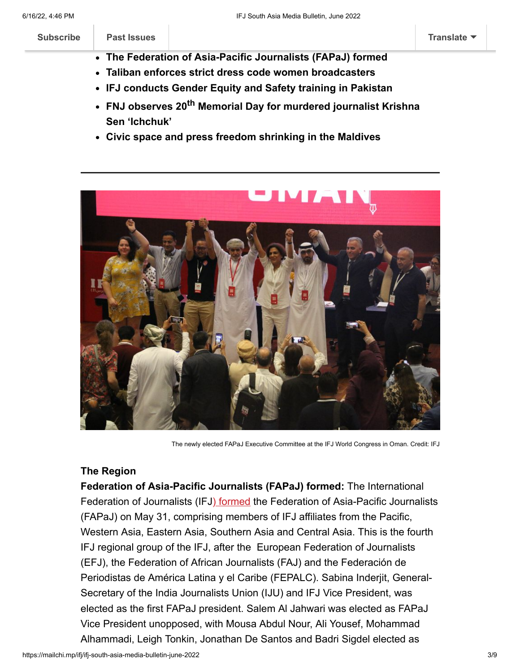| <b>Subscribe</b>                                                                                                       | Past Issues |  | Translate $\blacktriangledown$ |
|------------------------------------------------------------------------------------------------------------------------|-------------|--|--------------------------------|
| • The Federation of Asia-Pacific Journalists (FAPaJ) formed<br>• Taliban enforces strict dress code women broadcasters |             |  |                                |

- **IFJ conducts Gender Equity and Safety training in Pakistan**
- **FNJ observes 20th Memorial Day for murdered journalist Krishna Sen 'Ichchuk'**
- **Civic space and press freedom shrinking in the Maldives**



The newly elected FAPaJ Executive Committee at the IFJ World Congress in Oman. Credit: IFJ

# **The Region**

**Federation of Asia-Pacific Journalists (FAPaJ) formed:** The International Federation of Journalists (IF[J\) formed](https://www.ifj.org/media-centre/news/detail/category/press-releases/article/asia-pacific-federation-of-asia-pacific-journalists-formed-at-ifj-congress.html) the Federation of Asia-Pacific Journalists (FAPaJ) on May 31, comprising members of IFJ affiliates from the Pacific, Western Asia, Eastern Asia, Southern Asia and Central Asia. This is the fourth IFJ regional group of the IFJ, after the European Federation of Journalists (EFJ), the Federation of African Journalists (FAJ) and the Federación de Periodistas de América Latina y el Caribe (FEPALC). Sabina Inderjit, General-Secretary of the India Journalists Union (IJU) and IFJ Vice President, was elected as the first FAPaJ president. Salem Al Jahwari was elected as FAPaJ Vice President unopposed, with Mousa Abdul Nour, Ali Yousef, Mohammad Alhammadi, Leigh Tonkin, Jonathan De Santos and Badri Sigdel elected as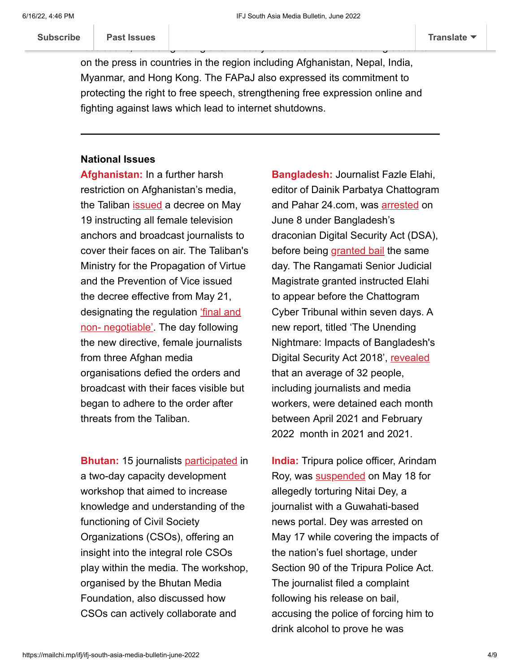m[embers of the Exe](https://us6.campaign-archive.com/home/?u=312d2086b1b5654e5e6957dd9&id=09bc8a5951)cutive Committee. The new federation address of the new federation adopted several several several several several several several several several several several several several several several several s resolutions, including voting unanimously to condemn the increasing assaults **[Subscribe](http://eepurl.com/gc5SZD) Past Issues [Translate](javascript:;)**

on the press in countries in the region including Afghanistan, Nepal, India, Myanmar, and Hong Kong. The FAPaJ also expressed its commitment to protecting the right to free speech, strengthening free expression online and fighting against laws which lead to internet shutdowns.

### **National Issues**

**Afghanistan:** In a further harsh restriction on Afghanistan's media, the Taliban [issued](https://www.ifj.org/media-centre/news/detail/category/press-releases/article/afghanistan-taliban-introduce-new-restrictions-for-women-broadcasters.html) a decree on May 19 instructing all female television anchors and broadcast journalists to cover their faces on air. The Taliban's Ministry for the Propagation of Virtue and the Prevention of Vice issued the decree effective from May 21, designating the regulation 'final and [non- negotiable'. The day following](https://www.hindustantimes.com/world-news/taliban-orders-women-tv-anchors-to-cover-their-faces-on-air-101652967003461.html) the new directive, female journalists from three Afghan media organisations defied the orders and broadcast with their faces visible but began to adhere to the order after threats from the Taliban.

**Bhutan:** 15 journalists [participated](https://www.facebook.com/bhutanmedia) in a two-day capacity development workshop that aimed to increase knowledge and understanding of the functioning of Civil Society Organizations (CSOs), offering an insight into the integral role CSOs play within the media. The workshop, organised by the Bhutan Media Foundation, also discussed how CSOs can actively collaborate and

**Bangladesh:** Journalist Fazle Elahi, editor of Dainik Parbatya Chattogram and Pahar 24.com, was **[arrested](https://thereport.live/journo-elahi-to-get-justice-ensures-info-minister)** on June 8 under Bangladesh's draconian Digital Security Act (DSA), before being [granted bail](https://thereport.live/journo-elahi-to-get-justice-ensures-info-minister) the same day. The Rangamati Senior Judicial Magistrate granted instructed Elahi to appear before the Chattogram Cyber Tribunal within seven days. A new report, titled 'The Unending Nightmare: Impacts of Bangladesh's Digital Security Act 2018', [revealed](https://www.thedailystar.net/news/bangladesh/news/indiscriminate-use-dsa-behind-increased-number-accused-report-3010671) that an average of 32 people, including journalists and media workers, were detained each month between April 2021 and February 2022 month in 2021 and 2021.

**India:** Tripura police officer, Arindam Roy, was **[suspended](https://nenow.in/north-east-news/tripura/tripura-police-official-suspended-torturing-video-journalist.html)** on May 18 for allegedly torturing Nitai Dey, a journalist with a Guwahati-based news portal. Dey was arrested on May 17 while covering the impacts of the nation's fuel shortage, under Section 90 of the Tripura Police Act. The journalist filed a complaint following his release on bail, accusing the police of forcing him to drink alcohol to prove he was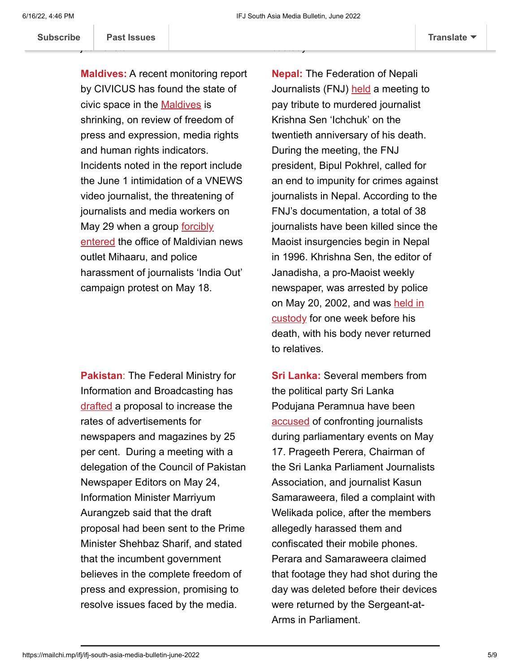custody.

Subscribe | Past Issues

journalists. **[Subscribe](http://eepurl.com/gc5SZD) Past Issues [Translate](javascript:;)**

**Maldives:** A recent monitoring report by CIVICUS has found the state of civic space in the **[Maldives](https://monitor.civicus.org/country/maldives/)** is shrinking, on review of freedom of press and expression, media rights and human rights indicators. Incidents noted in the report include the June 1 intimidation of a VNEWS video journalist, the threatening of journalists and media workers on [May 29 when a group forcibly](https://samsn.ifj.org/maldives-mihaaru-journalists-harassed-at-office/) entered the office of Maldivian news outlet Mihaaru, and police harassment of journalists 'India Out' campaign protest on May 18.

**Pakistan**: The Federal Ministry for Information and Broadcasting has [drafted](https://propakistani.pk/2022/05/25/govt-proposes-25-increase-in-media-advertisements/) a proposal to increase the rates of advertisements for newspapers and magazines by 25 per cent. During a meeting with a delegation of the Council of Pakistan Newspaper Editors on May 24, Information Minister Marriyum Aurangzeb said that the draft proposal had been sent to the Prime Minister Shehbaz Sharif, and stated that the incumbent government believes in the complete freedom of press and expression, promising to resolve issues faced by the media.

**Nepal:** The Federation of Nepali Journalists (FNJ) [held](http://www.fnjnepal.org/np/news/239) a meeting to pay tribute to murdered journalist Krishna Sen 'Ichchuk' on the twentieth anniversary of his death. During the meeting, the FNJ president, Bipul Pokhrel, called for an end to impunity for crimes against journalists in Nepal. According to the FNJ's documentation, a total of 38 journalists have been killed since the Maoist insurgencies begin in Nepal in 1996. Khrishna Sen, the editor of Janadisha, a pro-Maoist weekly newspaper, was arrested by police [on May 20, 2002, and was held in](https://peoplepill.com/people/krishna-sen) custody for one week before his death, with his body never returned to relatives.

intoxicated and assaulting him in

**Sri Lanka:** Several members from the political party Sri Lanka Podujana Peramnua have been [accused](https://www.republicworld.com/world-news/rest-of-the-world-news/sri-lanka-several-mps-accused-of-confronting-journalists-covering-parliamentary-events-articleshow.html) of confronting journalists during parliamentary events on May 17. Prageeth Perera, Chairman of the Sri Lanka Parliament Journalists Association, and journalist Kasun Samaraweera, filed a complaint with Welikada police, after the members allegedly harassed them and confiscated their mobile phones. Perara and Samaraweera claimed that footage they had shot during the day was deleted before their devices were returned by the Sergeant-at-Arms in Parliament.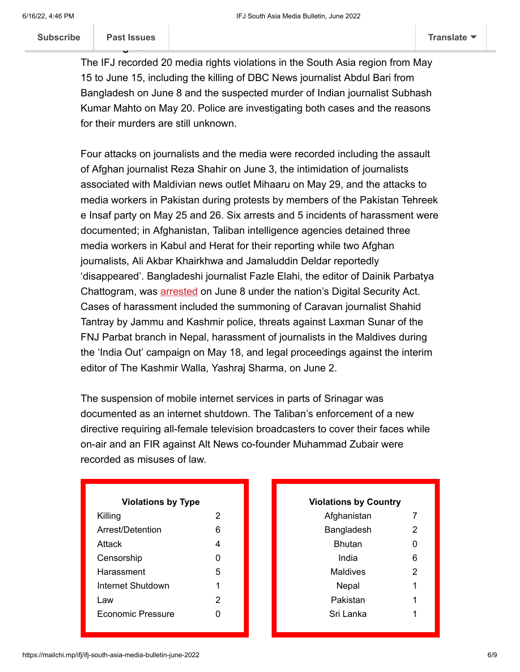**M[edia Rights Viola](https://us6.campaign-archive.com/home/?u=312d2086b1b5654e5e6957dd9&id=09bc8a5951)tions [Subscribe](http://eepurl.com/gc5SZD) Past Issues [Translate](javascript:;)**

The IFJ recorded 20 media rights violations in the South Asia region from May 15 to June 15, including the killing of DBC News journalist Abdul Bari from Bangladesh on June 8 and the suspected murder of Indian journalist Subhash Kumar Mahto on May 20. Police are investigating both cases and the reasons for their murders are still unknown.

Four attacks on journalists and the media were recorded including the assault of Afghan journalist Reza Shahir on June 3, the intimidation of journalists associated with Maldivian news outlet Mihaaru on May 29, and the attacks to media workers in Pakistan during protests by members of the Pakistan Tehreek e Insaf party on May 25 and 26. Six arrests and 5 incidents of harassment were documented; in Afghanistan, Taliban intelligence agencies detained three media workers in Kabul and Herat for their reporting while two Afghan journalists, Ali Akbar Khairkhwa and Jamaluddin Deldar reportedly 'disappeared'. Bangladeshi journalist Fazle Elahi, the editor of Dainik Parbatya Chattogram, was **[arrested](https://thereport.live/journo-elahi-to-get-justice-ensures-info-minister)** on June 8 under the nation's Digital Security Act. Cases of harassment included the summoning of Caravan journalist Shahid Tantray by Jammu and Kashmir police, threats against Laxman Sunar of the FNJ Parbat branch in Nepal, harassment of journalists in the Maldives during the 'India Out' campaign on May 18, and legal proceedings against the interim editor of The Kashmir Walla, Yashraj Sharma, on June 2.

The suspension of mobile internet services in parts of Srinagar was documented as an internet shutdown. The Taliban's enforcement of a new directive requiring all-female television broadcasters to cover their faces while on-air and an FIR against Alt News co-founder Muhammad Zubair were recorded as misuses of law.

| <b>Violations by Type</b> |   |  |
|---------------------------|---|--|
| Killing                   | 2 |  |
| Arrest/Detention          | 6 |  |
| Attack                    | 4 |  |
| Censorship                | O |  |
| Harassment                | 5 |  |
| Internet Shutdown         | 1 |  |
| Law                       | 2 |  |
| <b>Fconomic Pressure</b>  |   |  |
|                           |   |  |

| <b>Violations by Country</b> |   |  |  |  |
|------------------------------|---|--|--|--|
| Afghanistan                  | 7 |  |  |  |
| Bangladesh                   | 2 |  |  |  |
| Bhutan                       | 0 |  |  |  |
| India                        | 6 |  |  |  |
| Maldives                     | 2 |  |  |  |
| Nepal                        | 1 |  |  |  |
| Pakistan                     | 1 |  |  |  |
| Sri Lanka                    | 1 |  |  |  |
|                              |   |  |  |  |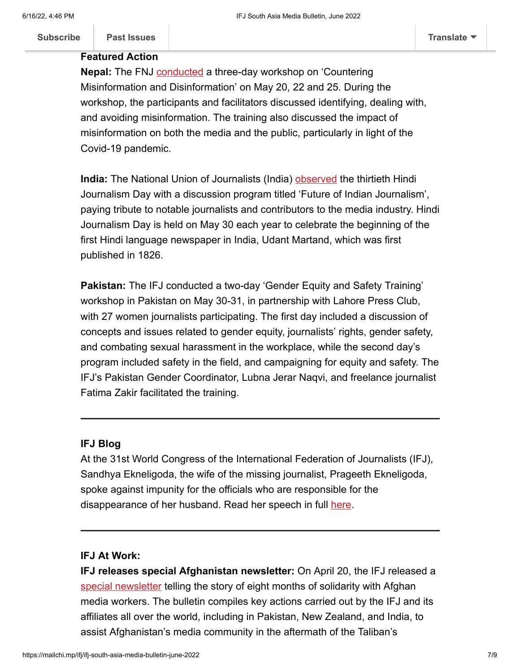### **Featured Action**

**Nepal:** The FNJ **conducted** a three-day workshop on 'Countering Misinformation and Disinformation' on May 20, 22 and 25. During the workshop, the participants and facilitators discussed identifying, dealing with, and avoiding misinformation. The training also discussed the impact of misinformation on both the media and the public, particularly in light of the Covid-19 pandemic.

**India:** The National Union of Journalists (India) [observed](https://www.facebook.com/nujindia) the thirtieth Hindi Journalism Day with a discussion program titled 'Future of Indian Journalism', paying tribute to notable journalists and contributors to the media industry. Hindi Journalism Day is held on May 30 each year to celebrate the beginning of the first Hindi language newspaper in India, Udant Martand, which was first published in 1826.

**Pakistan:** The IFJ conducted a two-day 'Gender Equity and Safety Training' workshop in Pakistan on May 30-31, in partnership with Lahore Press Club, with 27 women journalists participating. The first day included a discussion of concepts and issues related to gender equity, journalists' rights, gender safety, and combating sexual harassment in the workplace, while the second day's program included safety in the field, and campaigning for equity and safety. The IFJ's Pakistan Gender Coordinator, Lubna Jerar Naqvi, and freelance journalist Fatima Zakir facilitated the training.

## **IFJ Blog**

At the 31st World Congress of the International Federation of Journalists (IFJ), Sandhya Ekneligoda, the wife of the missing journalist, Prageeth Ekneligoda, spoke against impunity for the officials who are responsible for the disappearance of her husband. Read her speech in full [here.](https://www.ifj.org/media-centre/blog/detail/category/articlesblogs/article/sri-lanka-end-impunity-and-injustice-for-crimes-against-journalists.html)

## **IFJ At Work:**

**IFJ releases special Afghanistan newsletter:** On April 20, the IFJ released a [special newsletter](https://mailchi.mp/ifj/ifj-covid-19-weekly-656575) telling the story of eight months of solidarity with Afghan media workers. The bulletin compiles key actions carried out by the IFJ and its affiliates all over the world, including in Pakistan, New Zealand, and India, to assist Afghanistan's media community in the aftermath of the Taliban's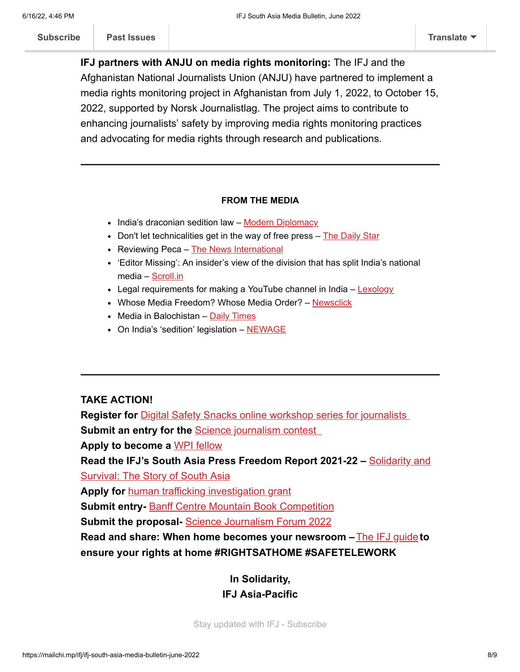takeover. **[Subscribe](http://eepurl.com/gc5SZD) [Past Issues](https://us6.campaign-archive.com/home/?u=312d2086b1b5654e5e6957dd9&id=09bc8a5951) [Translate](javascript:;)**

**IFJ partners with ANJU on media rights monitoring:** The IFJ and the Afghanistan National Journalists Union (ANJU) have partnered to implement a media rights monitoring project in Afghanistan from July 1, 2022, to October 15, 2022, supported by Norsk Journalistlag. The project aims to contribute to enhancing journalists' safety by improving media rights monitoring practices and advocating for media rights through research and publications.

### **FROM THE MEDIA**

- India's draconian sedition law – [Modern Diplomacy](https://moderndiplomacy.eu/2022/05/29/indias-draconian-sedition-law/?fbclid=IwAR0yyP3eiNY5J4Qhk9kPUSU94-zFzx3Zx7vw-ZEDg8X4K2ydFjlR8Yn2-IY)
- Don't let technicalities get in the way of free press  $-$  [The Daily Star](https://aus01.safelinks.protection.outlook.com/?url=https%3A%2F%2Fwww.thedailystar.net%2Fviews%2Feditorial%2Fnews%2Fdont-let-technicalities-get-the-way-free-press-3044156&data=05%7C01%7Cadvocacy%40ifj-asia.org%7Cb6a4bb620783437ede3d08da4ddc3fe9%7Ca2cc74e52d8b40f4b84f4b1e5d6fbd8c%7C0%7C0%7C637907905595778821%7CUnknown%7CTWFpbGZsb3d8eyJWIjoiMC4wLjAwMDAiLCJQIjoiV2luMzIiLCJBTiI6Ik1haWwiLCJXVCI6Mn0%3D%7C3000%7C%7C%7C&sdata=H6m%2BF5beGqAJi%2Bz95HOOlc%2F4E78gDiJ3sIF9DZSZ6Y8%3D&reserved=0)
- Reviewing Peca – [The News International](https://aus01.safelinks.protection.outlook.com/?url=https%3A%2F%2Fwww.thenews.com.pk%2Fprint%2F965656-reviewing-peca&data=05%7C01%7Cadvocacy%40ifj-asia.org%7Cb6a4bb620783437ede3d08da4ddc3fe9%7Ca2cc74e52d8b40f4b84f4b1e5d6fbd8c%7C0%7C0%7C637907905595778821%7CUnknown%7CTWFpbGZsb3d8eyJWIjoiMC4wLjAwMDAiLCJQIjoiV2luMzIiLCJBTiI6Ik1haWwiLCJXVCI6Mn0%3D%7C3000%7C%7C%7C&sdata=Fn%2FiIu%2Fyzr5kWFAD%2Bcln09oWlsSh6Yxa9FVddz68SuI%3D&reserved=0)
- 'Editor Missing': An insider's view of the division that has split India's national media – [Scroll.in](https://amp.scroll.in/article/1025733/editor-missing-an-insiders-view-of-the-division-that-has-split-indias-national-media)
- Legal requirements for making a YouTube channel in India – [Lexology](https://www.lexology.com/library/detail.aspx?g=37e19548-6689-41d6-ab9b-dd416fccbeaa)
- Whose Media Freedom? Whose Media Order? [Newsclick](https://www.newsclick.in/Whose-Media-Freedom-Whose-Media-Order)
- Media in Balochistan  $Daily Times$
- On India's 'sedition' legislation [NEWAGE](https://www.newagebd.net/article/171424/on-indias-sedition-legislation)

### **TAKE ACTION!**

**Register for** *[Digital Safety Snacks online workshop series for journalists](https://pen.org/event-series/digital-safety-snacks/)* **Submit an entry for the Science journalism contest Apply to become a** [WPI fellow](https://worldpressinstitute.org/how-to-apply/) **[Read the IFJ's South Asia Press Freedom Report 2021-22 –](https://samsn.ifj.org/SAPFR21-22)** Solidarity and Survival: The Story of South Asia **Apply for** [human trafficking investigation](https://grants.journalismfund.eu/en/modern-slavery-unveiled) grant **Submit entry-** [Banff Centre Mountain Book Competition](https://www.banffcentre.ca/banff-mountain-book-competition) **Submit the proposal-** [Science Journalism Forum 2022](https://sciencejf.com/apply-to-speak/) **Read and share: When home becomes your newsroom –** [The IFJ guide](https://ifj.us6.list-manage.com/track/click?u=312d2086b1b5654e5e6957dd9&id=927173b765&e=d2c9d6b1ad) **to ensure your rights at home #RIGHTSATHOME #SAFETELEWORK**

> **In Solidarity, IFJ Asia-Pacific**

[Stay updated with IFJ -](https://ifj.us6.list-manage.com/subscribe?u=312d2086b1b5654e5e6957dd9&id=09bc8a5951&group[11885][16]=1&group[11897][32768]=1&group[11893][16384]=1) Subscribe